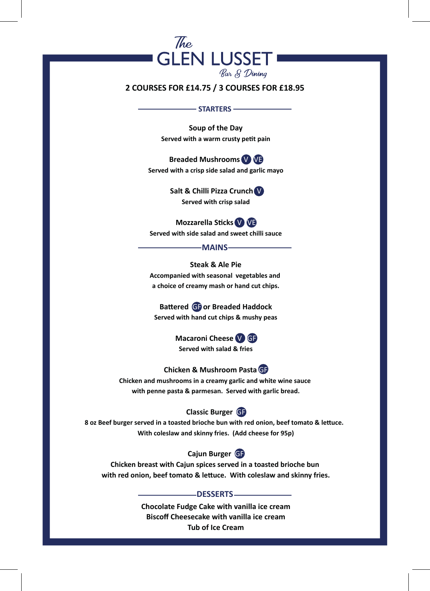

## **2 COURSES FOR £14.75 / 3 COURSES FOR £18.95**

#### - STARTERS -

**Soup of the Day Served with a warm crusty petit pain**

**Breaded Mushrooms V VE Served with a crisp side salad and garlic mayo**

> **Salt & Chilli Pizza Crunch** V **Served with crisp salad**

**Mozzarella Sticks** V VE **Served with side salad and sweet chilli sauce**

#### **MAINS**

**Steak & Ale Pie Accompanied with seasonal vegetables and a choice of creamy mash or hand cut chips.**

**Battered** GF **or Breaded Haddock Served with hand cut chips & mushy peas**

> **Macaroni Cheese** V GF **Served with salad & fries**

**Chicken & Mushroom Pasta** GF

**Chicken and mushrooms in a creamy garlic and white wine sauce with penne pasta & parmesan. Served with garlic bread.**

## **Classic Burger** GF

**8 oz Beef burger served in a toasted brioche bun with red onion, beef tomato & lettuce. With coleslaw and skinny fries. (Add cheese for 95p)**

# **Cajun Burger** GF

**Chicken breast with Cajun spices served in a toasted brioche bun with red onion, beef tomato & lettuce. With coleslaw and skinny fries.**

### **DESSERTS**

**Chocolate Fudge Cake with vanilla ice cream Biscoff Cheesecake with vanilla ice cream Tub of Ice Cream**